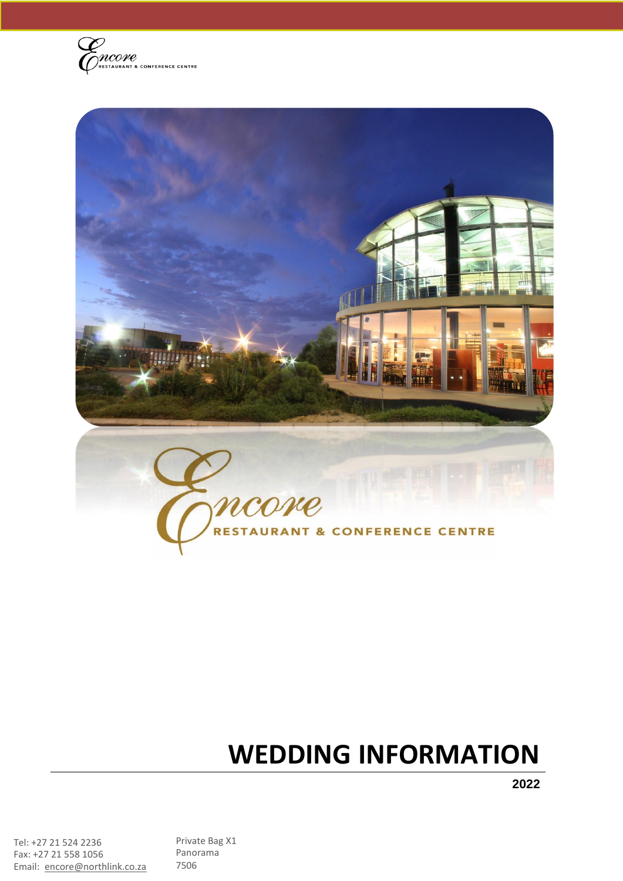



# **WEDDING INFORMATION**

**2022**

Tel: +27 21 524 2236 Fax: +27 21 558 1056 Email: [encore@northlink.co.za](mailto:encore@northlink.co.za) Private Bag X1 Panorama 7506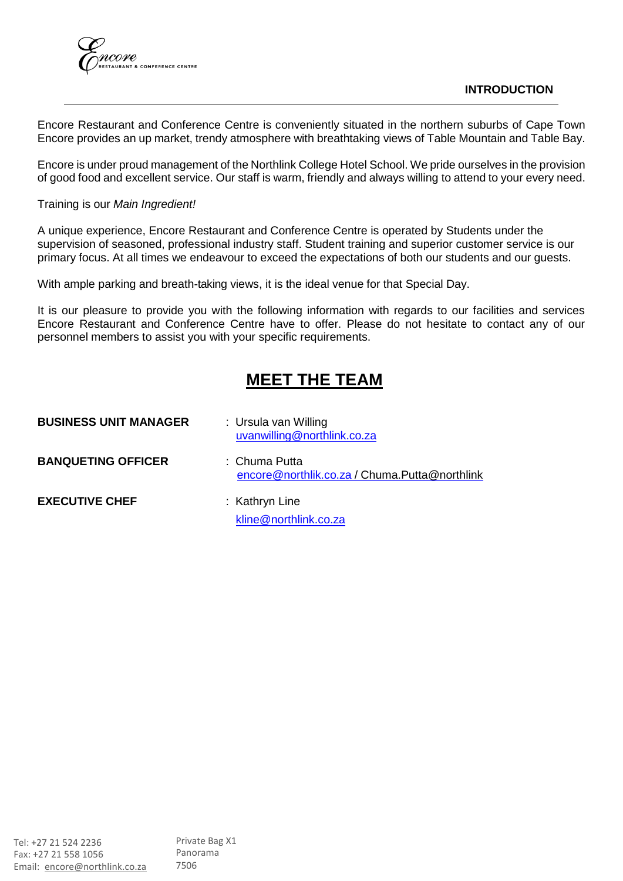

#### **INTRODUCTION**

Encore Restaurant and Conference Centre is conveniently situated in the northern suburbs of Cape Town Encore provides an up market, trendy atmosphere with breathtaking views of Table Mountain and Table Bay.

Encore is under proud management of the Northlink College Hotel School. We pride ourselves in the provision of good food and excellent service. Our staff is warm, friendly and always willing to attend to your every need.

#### Training is our *Main Ingredient!*

A unique experience, Encore Restaurant and Conference Centre is operated by Students under the supervision of seasoned, professional industry staff. Student training and superior customer service is our primary focus. At all times we endeavour to exceed the expectations of both our students and our guests.

With ample parking and breath-taking views, it is the ideal venue for that Special Day.

It is our pleasure to provide you with the following information with regards to our facilities and services Encore Restaurant and Conference Centre have to offer. Please do not hesitate to contact any of our personnel members to assist you with your specific requirements.

# **MEET THE TEAM**

| <b>BUSINESS UNIT MANAGER</b> | : Ursula van Willing<br>uvanwilling@northlink.co.za            |
|------------------------------|----------------------------------------------------------------|
| <b>BANQUETING OFFICER</b>    | : Chuma Putta<br>encore@northlik.co.za / Chuma.Putta@northlink |
| <b>EXECUTIVE CHEF</b>        | : Kathryn Line<br>kline@northlink.co.za                        |
|                              |                                                                |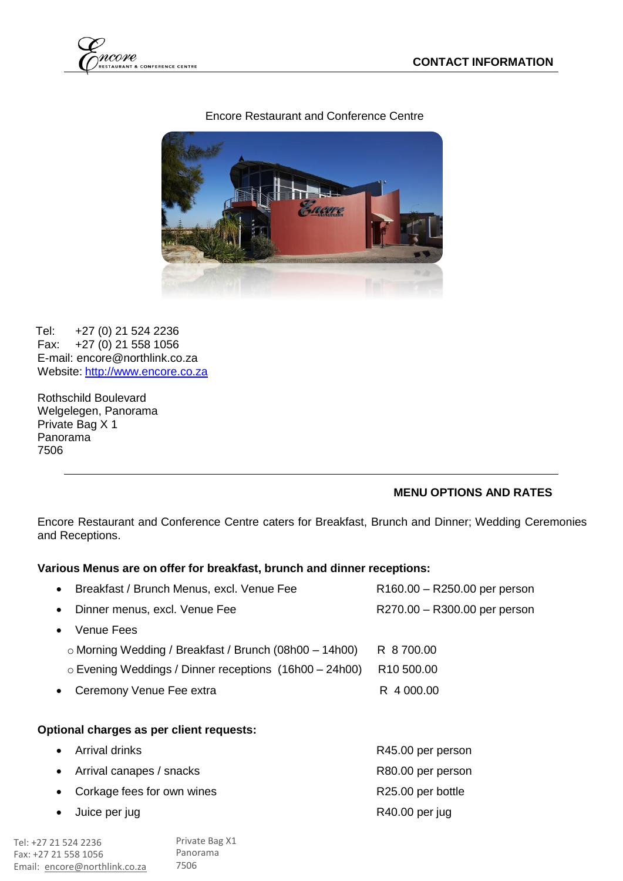

# Encore Restaurant and Conference Centre



Tel: +27 (0) 21 524 2236 Fax: +27 (0) 21 558 1056 E-mail: [encore@northlink.co.za](mailto:encore@northlink.co.za) Website: [http://www.encore.co.za](http://www.encore.co.za/)

Rothschild Boulevard Welgelegen, Panorama Private Bag X 1 Panorama 7506

# **MENU OPTIONS AND RATES**

Encore Restaurant and Conference Centre caters for Breakfast, Brunch and Dinner; Wedding Ceremonies and Receptions.

#### **Various Menus are on offer for breakfast, brunch and dinner receptions:**

| Breakfast / Brunch Menus, excl. Venue Fee                      | R160.00 - R250.00 per person |  |  |  |
|----------------------------------------------------------------|------------------------------|--|--|--|
| Dinner menus, excl. Venue Fee                                  | R270.00 - R300.00 per person |  |  |  |
| <b>Venue Fees</b>                                              |                              |  |  |  |
| $\circ$ Morning Wedding / Breakfast / Brunch (08h00 - 14h00)   | R 8 700.00                   |  |  |  |
| $\circ$ Evening Weddings / Dinner receptions $(16h00 - 24h00)$ | R <sub>10</sub> 500.00       |  |  |  |
| Ceremony Venue Fee extra                                       | R 4 000.00                   |  |  |  |
|                                                                |                              |  |  |  |
| Optional charges as per client requests:                       |                              |  |  |  |
| Arrival drinks                                                 | R45.00 per person            |  |  |  |
| Arrival canapes / snacks                                       | R80.00 per person            |  |  |  |
| Corkage fees for own wines                                     | R25.00 per bottle            |  |  |  |
| Juice per jug                                                  | R40.00 per jug               |  |  |  |
|                                                                |                              |  |  |  |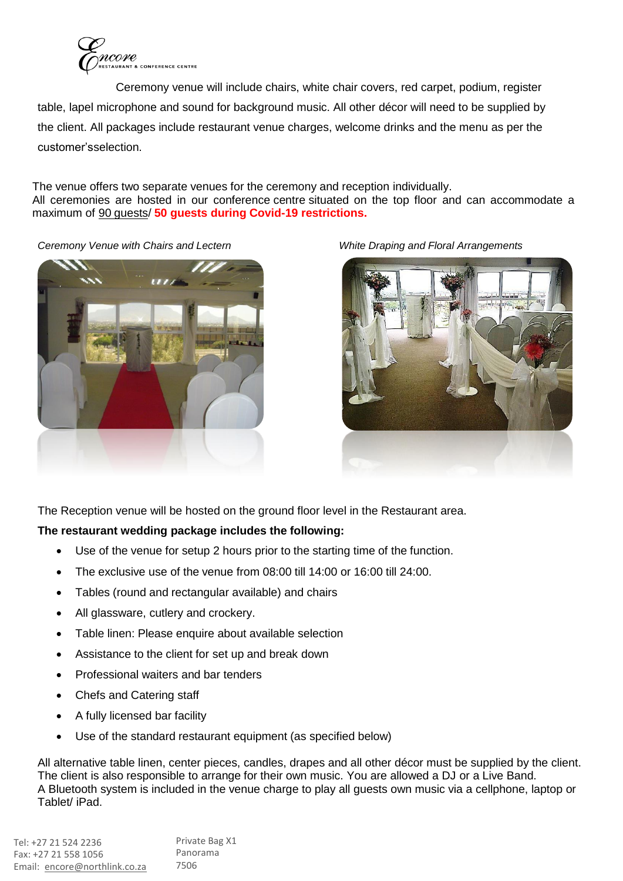

Ceremony venue will include chairs, white chair covers, red carpet, podium, register table, lapel microphone and sound for background music. All other décor will need to be supplied by the client. All packages include restaurant venue charges, welcome drinks and the menu as per the customer'sselection.

The venue offers two separate venues for the ceremony and reception individually. All ceremonies are hosted in our conference centre situated on the top floor and can accommodate a maximum of 90 guests/ **50 guests during Covid-19 restrictions.**

*Ceremony Venue with Chairs and Lectern White Draping and Floral Arrangements*



The Reception venue will be hosted on the ground floor level in the Restaurant area.

# **The restaurant wedding package includes the following:**

- Use of the venue for setup 2 hours prior to the starting time of the function.
- The exclusive use of the venue from 08:00 till 14:00 or 16:00 till 24:00.
- Tables (round and rectangular available) and chairs
- All glassware, cutlery and crockery.
- Table linen: Please enquire about available selection
- Assistance to the client for set up and break down
- Professional waiters and bar tenders
- Chefs and Catering staff
- A fully licensed bar facility
- Use of the standard restaurant equipment (as specified below)

All alternative table linen, center pieces, candles, drapes and all other décor must be supplied by the client. The client is also responsible to arrange for their own music. You are allowed a DJ or a Live Band. A Bluetooth system is included in the venue charge to play all guests own music via a cellphone, laptop or Tablet/ iPad.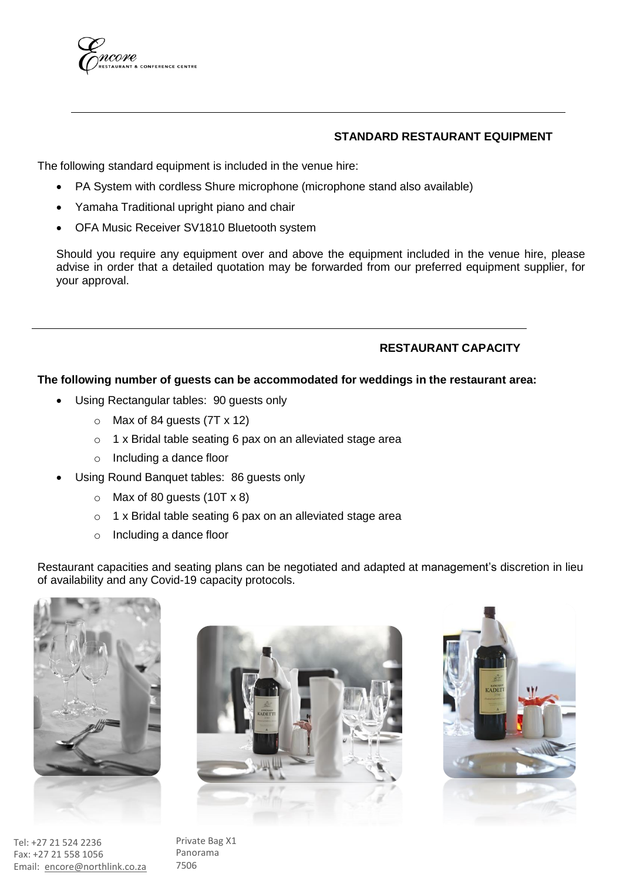

#### **STANDARD RESTAURANT EQUIPMENT**

The following standard equipment is included in the venue hire:

- PA System with cordless Shure microphone (microphone stand also available)
- Yamaha Traditional upright piano and chair
- OFA Music Receiver SV1810 Bluetooth system

Should you require any equipment over and above the equipment included in the venue hire, please advise in order that a detailed quotation may be forwarded from our preferred equipment supplier, for your approval.

# **RESTAURANT CAPACITY**

#### **The following number of guests can be accommodated for weddings in the restaurant area:**

- Using Rectangular tables: 90 guests only
	- $\circ$  Max of 84 guests (7T x 12)
	- o 1 x Bridal table seating 6 pax on an alleviated stage area
	- o Including a dance floor
- Using Round Banquet tables: 86 guests only
	- $\circ$  Max of 80 guests (10T x 8)
	- o 1 x Bridal table seating 6 pax on an alleviated stage area
	- o Including a dance floor

Restaurant capacities and seating plans can be negotiated and adapted at management's discretion in lieu of availability and any Covid-19 capacity protocols.



Tel: +27 21 524 2236 Fax: +27 21 558 1056 Email: [encore@northlink.co.za](mailto:encore@northlink.co.za)





Private Bag X1 Panorama 7506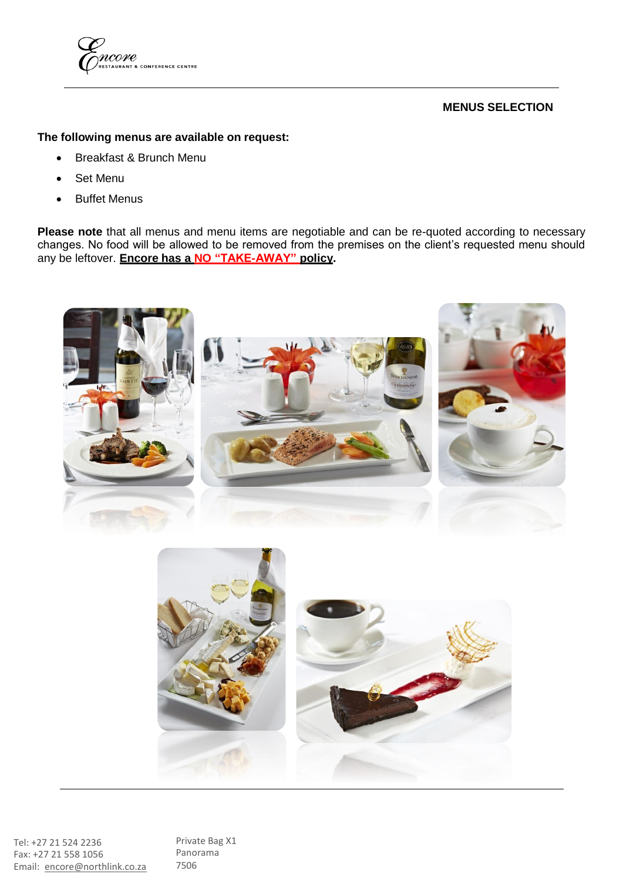

# **MENUS SELECTION**

# **The following menus are available on request:**

- Breakfast & Brunch Menu
- Set Menu
- Buffet Menus

**Please note** that all menus and menu items are negotiable and can be re-quoted according to necessary changes. No food will be allowed to be removed from the premises on the client's requested menu should any be leftover. **Encore has a NO "TAKE-AWAY" policy.**





Tel: +27 21 524 2236 Fax: +27 21 558 1056 Email: [encore@northlink.co.za](mailto:encore@northlink.co.za) Private Bag X1 Panorama 7506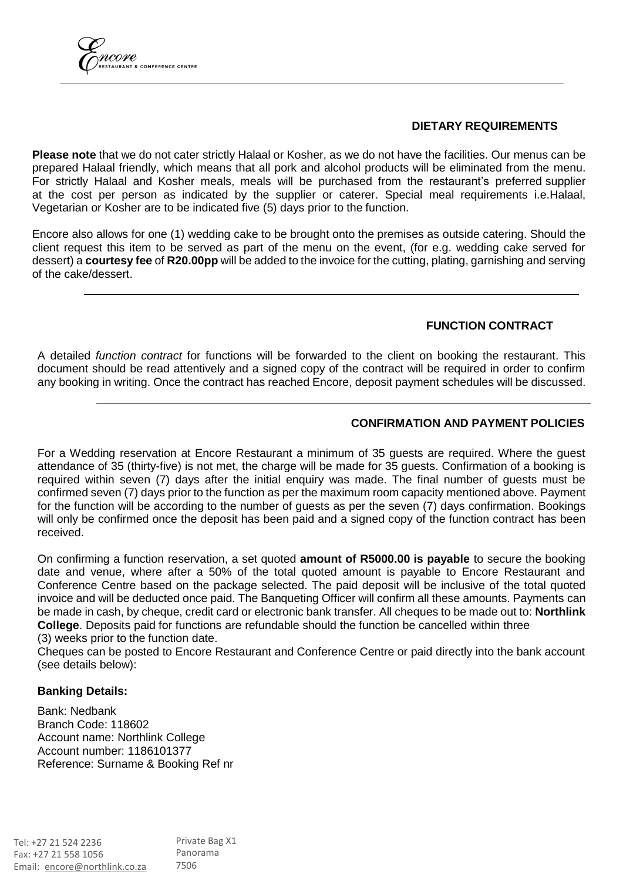

#### **DIETARY REQUIREMENTS**

**Please note** that we do not cater strictly Halaal or Kosher, as we do not have the facilities. Our menus can be prepared Halaal friendly, which means that all pork and alcohol products will be eliminated from the menu. For strictly Halaal and Kosher meals, meals will be purchased from the restaurant's preferred supplier at the cost per person as indicated by the supplier or caterer. Special meal requirements i.e.Halaal, Vegetarian or Kosher are to be indicated five (5) days prior to the function.

Encore also allows for one (1) wedding cake to be brought onto the premises as outside catering. Should the client request this item to be served as part of the menu on the event, (for e.g. wedding cake served for dessert) a **courtesy fee** of **R20.00pp** will be added to the invoice for the cutting, plating, garnishing and serving of the cake/dessert.

#### **FUNCTION CONTRACT**

A detailed *function contract* for functions will be forwarded to the client on booking the restaurant. This document should be read attentively and a signed copy of the contract will be required in order to confirm any booking in writing. Once the contract has reached Encore, deposit payment schedules will be discussed.

#### **CONFIRMATION AND PAYMENT POLICIES**

For a Wedding reservation at Encore Restaurant a minimum of 35 guests are required. Where the guest attendance of 35 (thirty-five) is not met, the charge will be made for 35 guests. Confirmation of a booking is required within seven (7) days after the initial enquiry was made. The final number of guests must be confirmed seven (7) days prior to the function as per the maximum room capacity mentioned above. Payment for the function will be according to the number of guests as per the seven (7) days confirmation. Bookings will only be confirmed once the deposit has been paid and a signed copy of the function contract has been received.

On confirming a function reservation, a set quoted **amount of R5000.00 is payable** to secure the booking date and venue, where after a 50% of the total quoted amount is payable to Encore Restaurant and Conference Centre based on the package selected. The paid deposit will be inclusive of the total quoted invoice and will be deducted once paid. The Banqueting Officer will confirm all these amounts. Payments can be made in cash, by cheque, credit card or electronic bank transfer. All cheques to be made out to: **Northlink College**. Deposits paid for functions are refundable should the function be cancelled within three (3) weeks prior to the function date.

Cheques can be posted to Encore Restaurant and Conference Centre or paid directly into the bank account (see details below):

#### **Banking Details:**

Bank: Nedbank Branch Code: 118602 Account name: Northlink College Account number: 1186101377 Reference: Surname & Booking Ref nr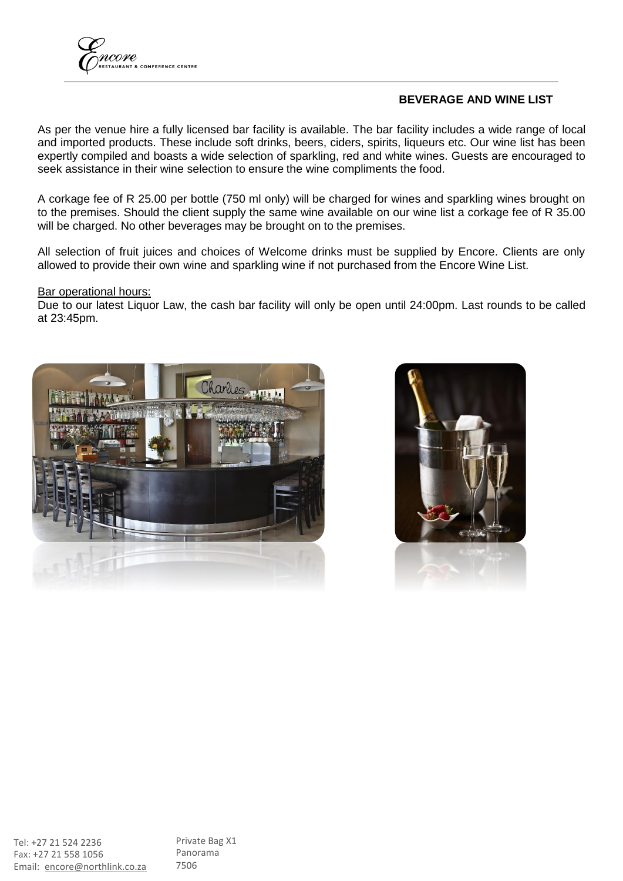

#### **BEVERAGE AND WINE LIST**

As per the venue hire a fully licensed bar facility is available. The bar facility includes a wide range of local and imported products. These include soft drinks, beers, ciders, spirits, liqueurs etc. Our wine list has been expertly compiled and boasts a wide selection of sparkling, red and white wines. Guests are encouraged to seek assistance in their wine selection to ensure the wine compliments the food.

A corkage fee of R 25.00 per bottle (750 ml only) will be charged for wines and sparkling wines brought on to the premises. Should the client supply the same wine available on our wine list a corkage fee of R 35.00 will be charged. No other beverages may be brought on to the premises.

All selection of fruit juices and choices of Welcome drinks must be supplied by Encore. Clients are only allowed to provide their own wine and sparkling wine if not purchased from the Encore Wine List.

#### **Bar operational hours:**

Due to our latest Liquor Law, the cash bar facility will only be open until 24:00pm. Last rounds to be called at 23:45pm.